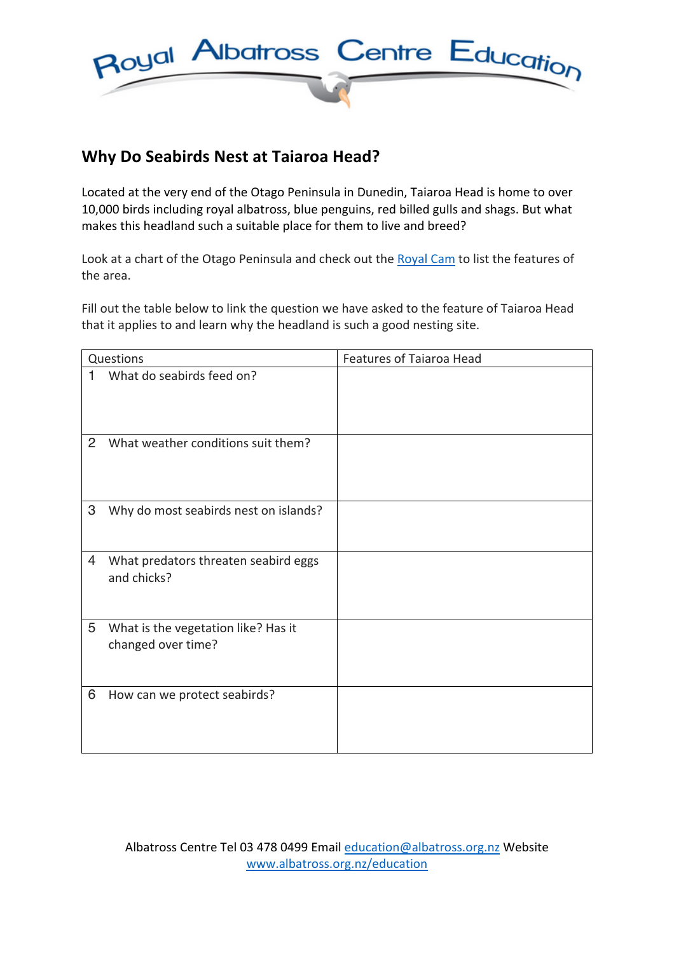

# **Why Do Seabirds Nest at Taiaroa Head?**

Located at the very end of the Otago Peninsula in Dunedin, Taiaroa Head is home to over 10,000 birds including royal albatross, blue penguins, red billed gulls and shags. But what makes this headland such a suitable place for them to live and breed?

Look at a chart of the Otago Peninsula and check out the Royal Cam to list the features of the area.

Fill out the table below to link the question we have asked to the feature of Taiaroa Head that it applies to and learn why the headland is such a good nesting site.

| Questions      |                                                           | <b>Features of Taiaroa Head</b> |
|----------------|-----------------------------------------------------------|---------------------------------|
| 1              | What do seabirds feed on?                                 |                                 |
| $\overline{2}$ | What weather conditions suit them?                        |                                 |
| 3              | Why do most seabirds nest on islands?                     |                                 |
| 4              | What predators threaten seabird eggs<br>and chicks?       |                                 |
| 5              | What is the vegetation like? Has it<br>changed over time? |                                 |
| 6              | How can we protect seabirds?                              |                                 |

Albatross Centre Tel 03 478 0499 Email education@albatross.org.nz Website www.albatross.org.nz/education